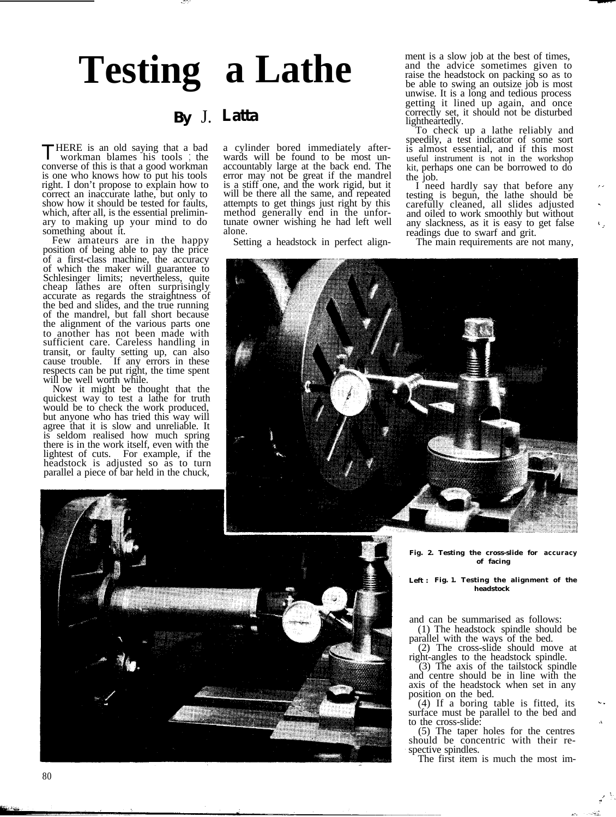# **Testing a Lathe**

### **By** J. **Latta**

THERE is an old saying that a bad workman blames his tools ; the converse of this is that a good workman is one who knows how to put his tools right. I don't propose to explain how to correct an inaccurate lathe, but only to show how it should be tested for faults, which, after all, is the essential preliminary to making up your mind to do something about it.

Few amateurs are in the happy position of being able to pay the price of a first-class machine, the accuracy of which the maker will guarantee to Schlesinger limits; nevertheless, quite cheap lathes are often surprisingly accurate as regards the straightness of the bed and slides, and the true running of the mandrel, but fall short because the alignment of the various parts one to another has not been made with sufficient care. Careless handling in transit, or faulty setting up, can also cause trouble. If any errors in these respects can be put right, the time spent will be well worth while.

Now it might be thought that the quickest way to test a lathe for truth would be to check the work produced, but anyone who has tried this way will agree that it is slow and unreliable. It is seldom realised how much spring there is in the work itself, even with the lightest of cuts. For example, if the headstock is adjusted so as to turn parallel a piece of bar held in the chuck,

a cylinder bored immediately afterwards will be found to be most unaccountably large at the back end. The error may not be great if the mandrel is a stiff one, and the work rigid, but it will be there all the same, and repeated attempts to get things just right by this method generally end in the unfortunate owner wishing he had left well alone.

Setting a headstock in perfect align-

ment is a slow job at the best of times, and the advice sometimes given to raise the headstock on packing so as to be able to swing an outsize job is most unwise. It is a long and tedious process getting it lined up again, and once correctly set, it should not be disturbed lightheartedly.

To check up a lathe reliably and speedily, a test indicator of some sort is almost essential, and if this most useful instrument is not in the workshop kit, perhaps one can be borrowed to do

the job. I need hardly say that before any testing is begun, the lathe should be carefully cleaned, all slides adjusted and oiled to work smoothly but without any slackness, as it is easy to get false

The main requirements are not many,





**Fig. 2. Testing the cross-slide for accuracy of facing**

**Left : Fig. 1. Testing the alignment of the headstock**

and can be summarised as follows:

(1) The headstock spindle should be

parallel with the ways of the bed.<br>(2) The cross-slide should move at right-angles to the headstock spindle.

right-angles to the headstock spindle. (3) The axis of the tailstock spindle and centre should be in line with the axis of the headstock when set in any position on the bed.

 $(4)$  If a boring table is fitted, its surface must be parallel to the bed and to the cross-slide:<br>(5) The taper holes for the centres

should be concentric with their re-<br>spective spindles.

The first item is much the most im-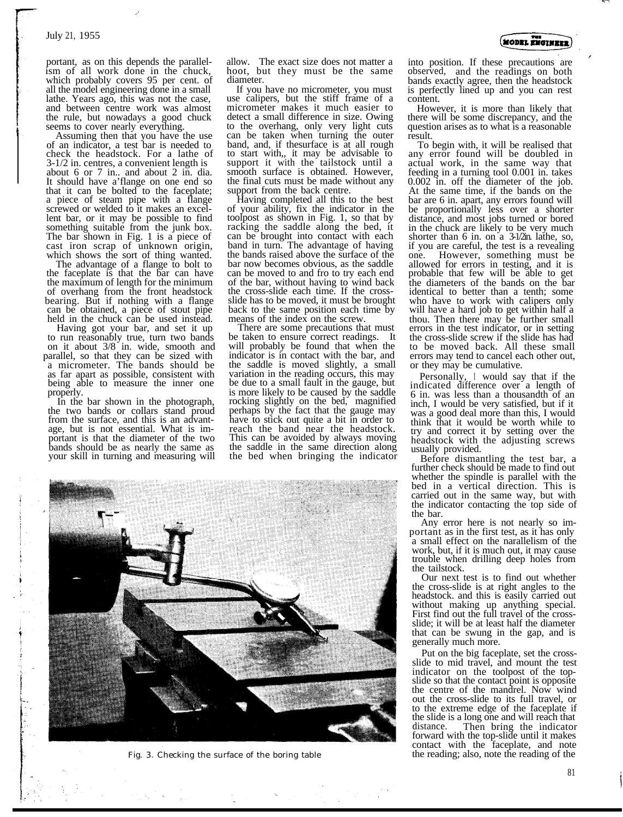portant, as on this depends the parallel-<br>ism of all work done in the chuck, which probably covers 95 per cent. of all the model engineering done in a small lathe. Years ago, this was not the case, and between centre work was almost the rule, but nowadays a good chuck seems to cover nearly everything.

Assuming then that you have the use of an indicator, a test bar is needed to check the headstock. For a lathe of 3-1/2 in. centres, a convenient length is about 6 or 7 in.. and about 2 in. dia. It should have a'flange on one end so that it can be bolted to the faceplate; a piece of steam pipe with a flange screwed or welded to it makes an excellent bar, or it may be possible to find something suitable from the junk box. The bar shown in Fig. 1 is a piece of cast iron scrap of unknown origin, which shows the sort of thing wanted.

The advantage of a flange to bolt to the faceplate is that the bar can have the maximum of length for the minimum of overhang from the front headstock bearing. But if nothing with a flange can be obtained, a piece of stout pipe

held in the chuck can be used instead.<br>Having got your bar, and set it up to run reasonably true, turn two bands on it about 3/8 in. wide, smooth and parallel, so that they can be sized with a micrometer. The bands should be as far apart as possible, consistent with being able to measure the inner one

properly. In the bar shown in the photograph, the two bands or collars stand proud from the surface, and this is an advantage, but is not essential. What is important is that the diameter of the two bands should be as nearly the same as your skill in turning and measuring will allow. The exact size does not matter a hoot, but they must be the same

diameter.<br>If you have no micrometer, you must use calipers, but the stiff frame of a micrometer makes it much easier to detect a small difference in size. Owing to the overhang, only very light cuts can be taken when turning the outer band, and, if thesurface is at all rough to start with,, it may be advisable to support it with the tailstock until a smooth surface is obtained. However, the final cuts must be made without any support from the back centre.

Having completed all this to the best of your ability, fix the indicator in the toolpost as shown in Fig. 1, so that by racking the saddle along the bed, it can be brought into contact with each band in turn. The advantage of having the bands raised above the surface of the bar now becomes obvious, as the saddle can be moved to and fro to try each end of the bar, without having to wind back the cross-slide each time. If the crossslide has to be moved, it must be brought back to the same position each time by means of the index on the screw.

There are some precautions that must be taken to ensure correct readings. It will probably be found that when the indicator is in contact with the bar, and the saddle is moved slightly, a small variation in the reading occurs, this may be due to a small fault in the gauge, but is more likely to be caused by the saddle rocking slightly on the bed, magnified perhaps by the fact that the gauge may have to stick out quite a bit in order to reach the band near the headstock. This can be avoided by always moving the saddle in the same direction along the bed when bringing the indicator



Fig. 3. Checking the surface of the boring table

into position. If these precautions are observed, and the readings on both bands exactly agree, then the headstock is perfectly lined up and you can rest content.<br>However, it is more than likely that

there will be some discrepancy, and the question arises as to what is a reasonable result.<br>To begin with, it will be realised that

any error found will be doubled in actual work, in the same way that feeding in a turning tool 0.001 in. takes 0.002 in. off the diameter of the job. At the same time, if the bands on the bar are 6 in. apart, any errors found will be proportionally less over a shorter distance, and most jobs turned or bored in the chuck are likely to be very much shorter than 6 in. on a 3-1/2in. lathe, so, if you are careful, the test is a revealing<br>one. However, something must be allowed for errors in testing, and it is probable that few will be able to get the diameters of the bands on the bar identical to better than a tenth; some who have to work with calipers only will have a hard job to get within half a thou. Then there may be further small errors in the test indicator, or in setting the cross-slide screw if the slide has had to be moved back. All these small errors may tend to cancel each other out, or they may be cumulative.

Personally, I would say that if the indicated difference over a length of 6 in. was less than a thousandth of an inch, I would be very satisfied, but if it was a good deal more than this, I would think that it would be worth while to try and correct it by setting over the headstock with the adjusting screws usually provided.

Before dismantling the test bar, a further check should be made to find out whether the spindle is parallel with the bed in a vertical direction. This is carried out in the same way, but with the indicator contacting the top side of the bar.

Any error here is not nearly so important as in the first test, as it has only a small effect on the narallelism of the work, but, if it is much out, it may cause trouble when drilling deep holes from the tailstock.

Our next test is to find out whether the cross-slide is at right angles to the headstock. and this is easily carried out without making up anything special. First find out the full travel of the crossslide; it will be at least half the diameter that can be swung in the gap, and is generally much more.

Put on the big faceplate, set the cross- slide to mid travel, and mount the test indicator on the toolpost of the top-<br>slide so that the contact point is opposite the centre of the mandrel. Now wind out the cross-slide to its full travel, or to the extreme edge of the faceplate if the slide is a long one and will reach that<br>distance. Then bring the indicator forward with the top-slide until it makes contact with the faceplate, and note the reading; also, note the reading of the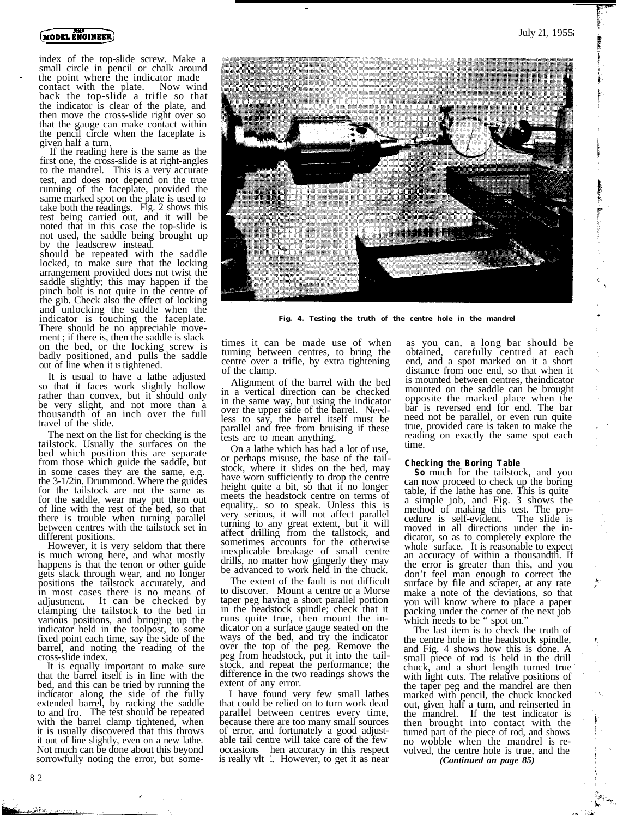

index of the top-slide screw. Make a small circle in pencil or chalk around the point where the indicator made<br>contact with the plate. Now wind contact with the plate. back the top-slide a trifle so that the indicator is clear of the plate, and then move the cross-slide right over so that the gauge can make contact within the pencil circle when the faceplate is

 $\check{\phantom{a}}$  If the reading here is the same as the first one, the cross-slide is at right-angles to the mandrel. This is a very accurate test, and does not depend on the true running of the faceplate, provided the same marked spot on the plate is used to take both the readings. Fig. 2 shows this test being carried out, and it will be noted that in this case the top-slide is not used, the saddle being brought up by the leadscrew instead.

should be repeated with the saddle locked, to make sure that the locking arrangement provided does not twist the saddle slightly; this may happen if the pinch bolt is not quite in the centre of the gib. Check also the effect of locking and unlocking the saddle when the indicator is touching the faceplate. There should be no appreciable movement ; if there is, then the saddle is slack on the bed, or the locking screw is badly positioned, and pulls the saddle out of line when it is tightened.

It is usual to have a lathe adjusted so that it faces work slightly hollow rather than convex, but it should only be very slight, and not more than a thousandth of an inch over the full travel of the slide.

The next on the list for checking is the tailstock. Usually the surfaces on the bed which position this are separate from those which guide the saddle, but in some cases they are the same, e.g. the 3-1/2in. Drummond. Where the guides for the tailstock are not the same as for the saddle, wear may put them out of line with the rest of the bed, so that there is trouble when turning parallel between centres with the tailstock set in different positions.

However, it is very seldom that there is much wrong here, and what mostly happens is that the tenon or other guide gets slack through wear, and no longer positions the tailstock accurately, and in most cases there is no means of adjustment. It can be checked by clamping the tailstock to the bed in various positions, and bringing up the indicator held in the toolpost, to some fixed point each time, say the side of the barrel, and noting the reading of the cross-slide index.

It is equally important to make sure that the barrel itself is in line with the bed, and this can be tried by running the indicator along the side of the fully indicator along the side of the fully extended barrel, by racking the saddle to and fro. The test should be repeated with the barrel clamp tightened, when it is usually discovered that this throws it out of line slightly, even on a new lathe. Not much can be done about this beyond sorrowfully noting the error, but some-



**Fig. 4. Testing the truth of the centre hole in the mandrel**

times it can be made use of when turning between centres, to bring the centre over a trifle, by extra tightening of the clamp.

Alignment of the barrel with the bed in a vertical direction can be checked in the same way, but using the indicator over the upper side of the barrel. Needless to say, the barrel itself must be parallel and free from bruising if these tests are to mean anything.

On a lathe which has had a lot of use, or perhaps misuse, the base of the tailstock, where it slides on the bed, may have worn sufficiently to drop the centre height quite a bit, so that it no longer meets the headstock centre on terms of equality,. so to speak. Unless this is very serious, it will not affect parallel turning to any great extent, but it will affect drilling from the tallstock, and sometimes accounts for the otherwise inexplicable breakage of small centre drills, no matter how gingerly they may be advanced to work held in the chuck.

The extent of the fault is not difficult to discover. Mount a centre or a Morse taper peg having a short parallel portion in the headstock spindle; check that it runs quite true, then mount the indicator on a surface gauge seated on the ways of the bed, and try the indicator over the top of the peg. Remove the peg from headstock, put it into the tailstock, and repeat the performance; the difference in the two readings shows the extent of any error.

I have found very few small lathes that could be relied on to turn work dead parallel between centres every time, because there are too many small sources of error, and fortunately a good adjustable tail centre will take care of the few occasions hen accuracy in this respect<br>is really vlt 1. However, to get it as near is really vlt 1. However, to get it as near

as you can, a long bar should be obtained, carefully centred at each end, and a spot marked on it a short distance from one end, so that when it is mounted between centres, theindicator mounted on the saddle can be brought opposite the marked place when the bar is reversed end for end. The bar need not be parallel, or even run quite true, provided care is taken to make the reading on exactly the same spot each time.

**Checking the Boring Table**<br>**So** much for the tailstock, and you can now proceed to check up the boring table, if the lathe has one. This is quite a simple job, and Fig. 3 shows the method of making this test. The pro-cedure is self-evident. The slide is moved in all directions under the indicator, so as to completely explore the whole surface. It is reasonable to expect an accuracy of within a thousandth. If the error is greater than this, and you don't feel man enough to correct the surface by file and scraper, at any rate make a note of the deviations, so that you will know where to place a paper packing under the corner of the next job which needs to be " spot on."

The last item is to check the truth of the centre hole in the headstock spindle, and Fig. 4 shows how this is done. A small piece of rod is held in the drill chuck, and a short length turned true with light cuts. The relative positions of the taper peg and the mandrel are then marked with pencil, the chuck knocked out, given half a turn, and reinserted in the mandrel. If the test indicator is then brought into contact with the turned part of the piece of rod, and shows<br>no wobble when the mandrel is revolved, the centre hole is true, and the

*(Continued on page 85)*